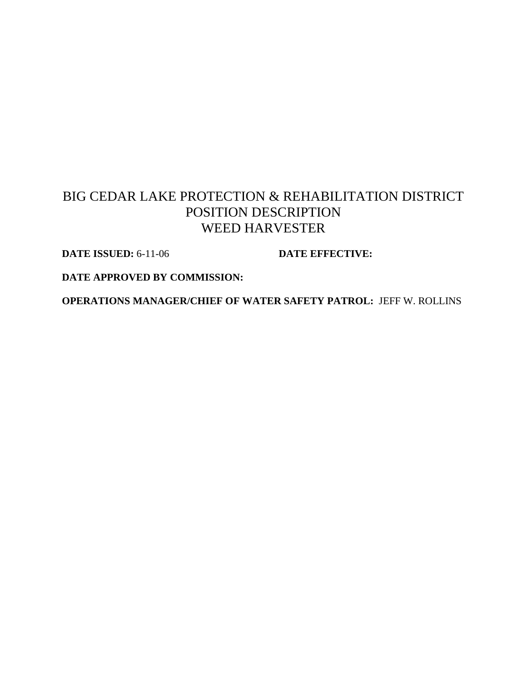# BIG CEDAR LAKE PROTECTION & REHABILITATION DISTRICT POSITION DESCRIPTION WEED HARVESTER

**DATE ISSUED:** 6-11-06 **DATE EFFECTIVE:** 

**DATE APPROVED BY COMMISSION:**

**OPERATIONS MANAGER/CHIEF OF WATER SAFETY PATROL:** JEFF W. ROLLINS